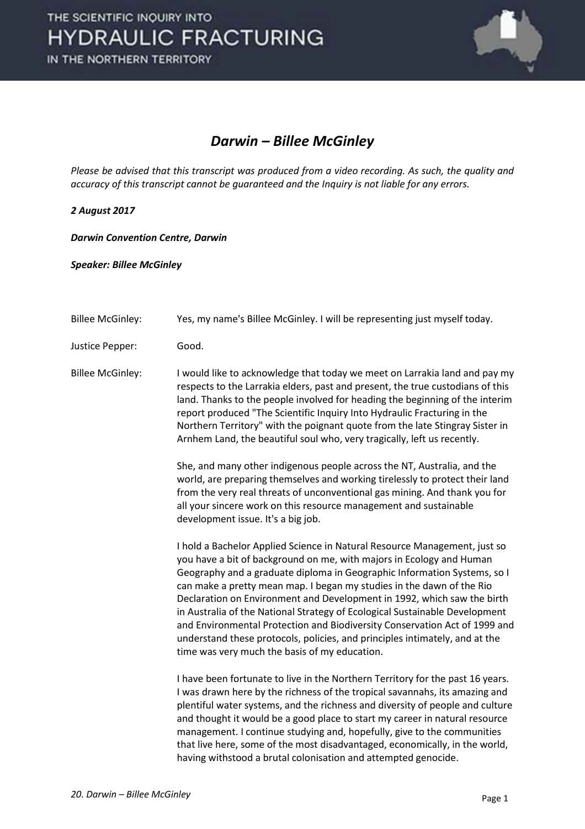

## *Darwin – Billee McGinley*

*Please be advised that this transcript was produced from a video recording. As such, the quality and accuracy of this transcript cannot be guaranteed and the Inquiry is not liable for any errors.*

*2 August 2017* 

*Darwin Convention Centre, Darwin* 

*Speaker: Billee McGinley* 

- Billee McGinley: Yes, my name's Billee McGinley. I will be representing just myself today.
- Justice Pepper: Good.

Billee McGinley: I would like to acknowledge that today we meet on Larrakia land and pay my respects to the Larrakia elders, past and present, the true custodians of this land. Thanks to the people involved for heading the beginning of the interim report produced "The Scientific Inquiry Into Hydraulic Fracturing in the Northern Territory" with the poignant quote from the late Stingray Sister in Arnhem Land, the beautiful soul who, very tragically, left us recently.

> She, and many other indigenous people across the NT, Australia, and the world, are preparing themselves and working tirelessly to protect their land from the very real threats of unconventional gas mining. And thank you for all your sincere work on this resource management and sustainable development issue. It's a big job.

 I hold a Bachelor Applied Science in Natural Resource Management, just so you have a bit of background on me, with majors in Ecology and Human Geography and a graduate diploma in Geographic Information Systems, so I can make a pretty mean map. I began my studies in the dawn of the Rio Declaration on Environment and Development in 1992, which saw the birth in Australia of the National Strategy of Ecological Sustainable Development and Environmental Protection and Biodiversity Conservation Act of 1999 and understand these protocols, policies, and principles intimately, and at the time was very much the basis of my education.

 I have been fortunate to live in the Northern Territory for the past 16 years. I was drawn here by the richness of the tropical savannahs, its amazing and plentiful water systems, and the richness and diversity of people and culture and thought it would be a good place to start my career in natural resource management. I continue studying and, hopefully, give to the communities that live here, some of the most disadvantaged, economically, in the world, having withstood a brutal colonisation and attempted genocide.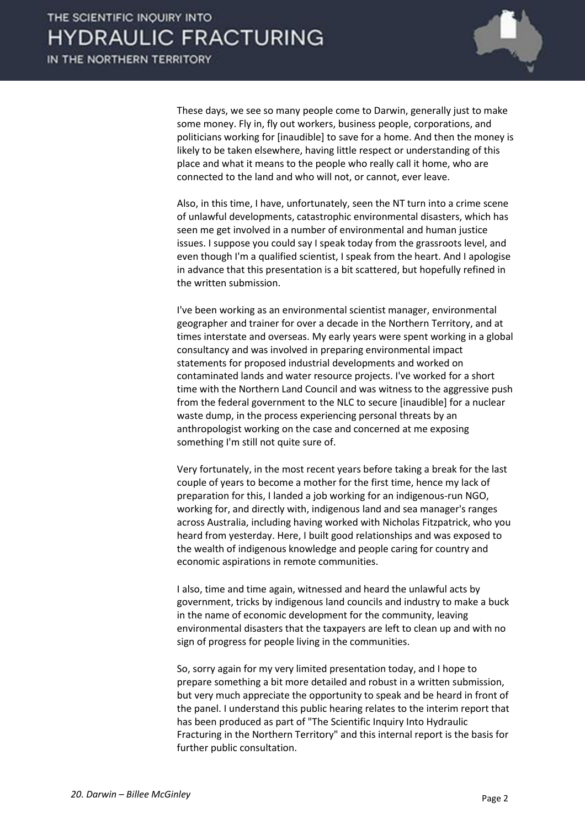

 These days, we see so many people come to Darwin, generally just to make some money. Fly in, fly out workers, business people, corporations, and politicians working for [inaudible] to save for a home. And then the money is likely to be taken elsewhere, having little respect or understanding of this place and what it means to the people who really call it home, who are connected to the land and who will not, or cannot, ever leave.

 Also, in this time, I have, unfortunately, seen the NT turn into a crime scene of unlawful developments, catastrophic environmental disasters, which has seen me get involved in a number of environmental and human justice issues. I suppose you could say I speak today from the grassroots level, and even though I'm a qualified scientist, I speak from the heart. And I apologise in advance that this presentation is a bit scattered, but hopefully refined in the written submission.

 I've been working as an environmental scientist manager, environmental geographer and trainer for over a decade in the Northern Territory, and at times interstate and overseas. My early years were spent working in a global consultancy and was involved in preparing environmental impact statements for proposed industrial developments and worked on contaminated lands and water resource projects. I've worked for a short time with the Northern Land Council and was witness to the aggressive push from the federal government to the NLC to secure [inaudible] for a nuclear waste dump, in the process experiencing personal threats by an anthropologist working on the case and concerned at me exposing something I'm still not quite sure of.

 Very fortunately, in the most recent years before taking a break for the last couple of years to become a mother for the first time, hence my lack of preparation for this, I landed a job working for an indigenous-run NGO, working for, and directly with, indigenous land and sea manager's ranges across Australia, including having worked with Nicholas Fitzpatrick, who you heard from yesterday. Here, I built good relationships and was exposed to the wealth of indigenous knowledge and people caring for country and economic aspirations in remote communities.

 I also, time and time again, witnessed and heard the unlawful acts by government, tricks by indigenous land councils and industry to make a buck in the name of economic development for the community, leaving environmental disasters that the taxpayers are left to clean up and with no sign of progress for people living in the communities.

 So, sorry again for my very limited presentation today, and I hope to prepare something a bit more detailed and robust in a written submission, but very much appreciate the opportunity to speak and be heard in front of the panel. I understand this public hearing relates to the interim report that has been produced as part of "The Scientific Inquiry Into Hydraulic Fracturing in the Northern Territory" and this internal report is the basis for further public consultation.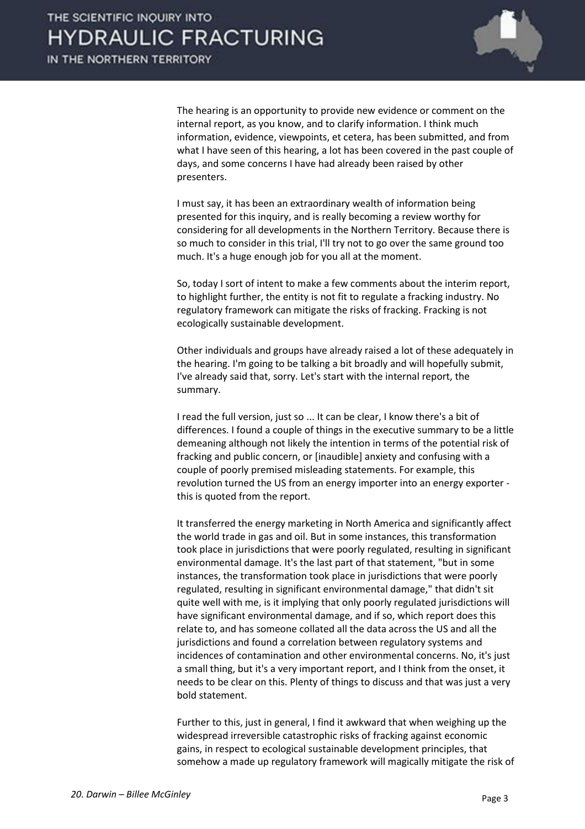

 The hearing is an opportunity to provide new evidence or comment on the internal report, as you know, and to clarify information. I think much information, evidence, viewpoints, et cetera, has been submitted, and from what I have seen of this hearing, a lot has been covered in the past couple of days, and some concerns I have had already been raised by other presenters.

 I must say, it has been an extraordinary wealth of information being presented for this inquiry, and is really becoming a review worthy for considering for all developments in the Northern Territory. Because there is so much to consider in this trial, I'll try not to go over the same ground too much. It's a huge enough job for you all at the moment.

 So, today I sort of intent to make a few comments about the interim report, to highlight further, the entity is not fit to regulate a fracking industry. No regulatory framework can mitigate the risks of fracking. Fracking is not ecologically sustainable development.

 Other individuals and groups have already raised a lot of these adequately in the hearing. I'm going to be talking a bit broadly and will hopefully submit, I've already said that, sorry. Let's start with the internal report, the summary.

 I read the full version, just so ... It can be clear, I know there's a bit of differences. I found a couple of things in the executive summary to be a little demeaning although not likely the intention in terms of the potential risk of fracking and public concern, or [inaudible] anxiety and confusing with a couple of poorly premised misleading statements. For example, this revolution turned the US from an energy importer into an energy exporter this is quoted from the report.

 It transferred the energy marketing in North America and significantly affect the world trade in gas and oil. But in some instances, this transformation took place in jurisdictions that were poorly regulated, resulting in significant environmental damage. It's the last part of that statement, "but in some instances, the transformation took place in jurisdictions that were poorly regulated, resulting in significant environmental damage," that didn't sit quite well with me, is it implying that only poorly regulated jurisdictions will have significant environmental damage, and if so, which report does this relate to, and has someone collated all the data across the US and all the jurisdictions and found a correlation between regulatory systems and incidences of contamination and other environmental concerns. No, it's just a small thing, but it's a very important report, and I think from the onset, it needs to be clear on this. Plenty of things to discuss and that was just a very bold statement.

 Further to this, just in general, I find it awkward that when weighing up the widespread irreversible catastrophic risks of fracking against economic gains, in respect to ecological sustainable development principles, that somehow a made up regulatory framework will magically mitigate the risk of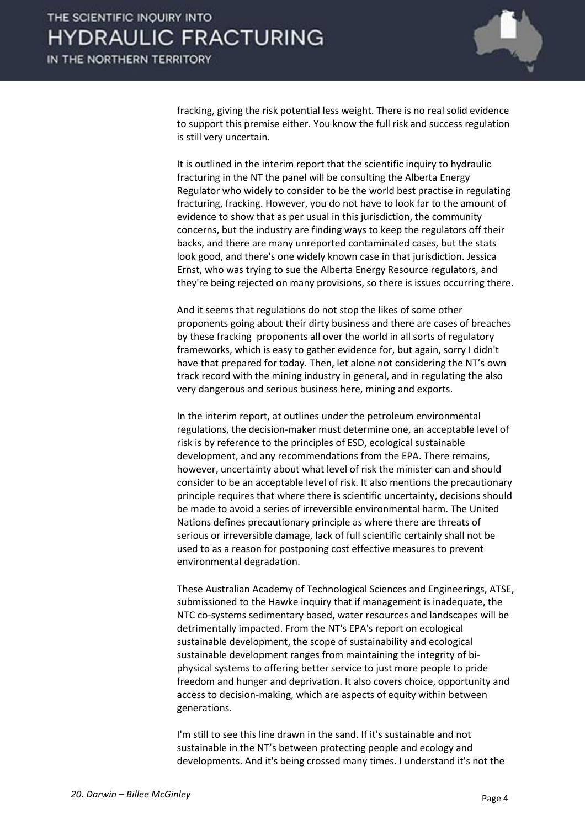

fracking, giving the risk potential less weight. There is no real solid evidence to support this premise either. You know the full risk and success regulation is still very uncertain.

 It is outlined in the interim report that the scientific inquiry to hydraulic fracturing in the NT the panel will be consulting the Alberta Energy Regulator who widely to consider to be the world best practise in regulating fracturing, fracking. However, you do not have to look far to the amount of evidence to show that as per usual in this jurisdiction, the community concerns, but the industry are finding ways to keep the regulators off their backs, and there are many unreported contaminated cases, but the stats look good, and there's one widely known case in that jurisdiction. Jessica Ernst, who was trying to sue the Alberta Energy Resource regulators, and they're being rejected on many provisions, so there is issues occurring there.

 And it seems that regulations do not stop the likes of some other proponents going about their dirty business and there are cases of breaches by these fracking proponents all over the world in all sorts of regulatory frameworks, which is easy to gather evidence for, but again, sorry I didn't have that prepared for today. Then, let alone not considering the NT's own track record with the mining industry in general, and in regulating the also very dangerous and serious business here, mining and exports.

 In the interim report, at outlines under the petroleum environmental regulations, the decision-maker must determine one, an acceptable level of risk is by reference to the principles of ESD, ecological sustainable development, and any recommendations from the EPA. There remains, however, uncertainty about what level of risk the minister can and should consider to be an acceptable level of risk. It also mentions the precautionary principle requires that where there is scientific uncertainty, decisions should be made to avoid a series of irreversible environmental harm. The United Nations defines precautionary principle as where there are threats of serious or irreversible damage, lack of full scientific certainly shall not be used to as a reason for postponing cost effective measures to prevent environmental degradation.

 These Australian Academy of Technological Sciences and Engineerings, ATSE, submissioned to the Hawke inquiry that if management is inadequate, the NTC co-systems sedimentary based, water resources and landscapes will be detrimentally impacted. From the NT's EPA's report on ecological sustainable development, the scope of sustainability and ecological sustainable development ranges from maintaining the integrity of biphysical systems to offering better service to just more people to pride freedom and hunger and deprivation. It also covers choice, opportunity and access to decision-making, which are aspects of equity within between generations.

 I'm still to see this line drawn in the sand. If it's sustainable and not sustainable in the NT's between protecting people and ecology and developments. And it's being crossed many times. I understand it's not the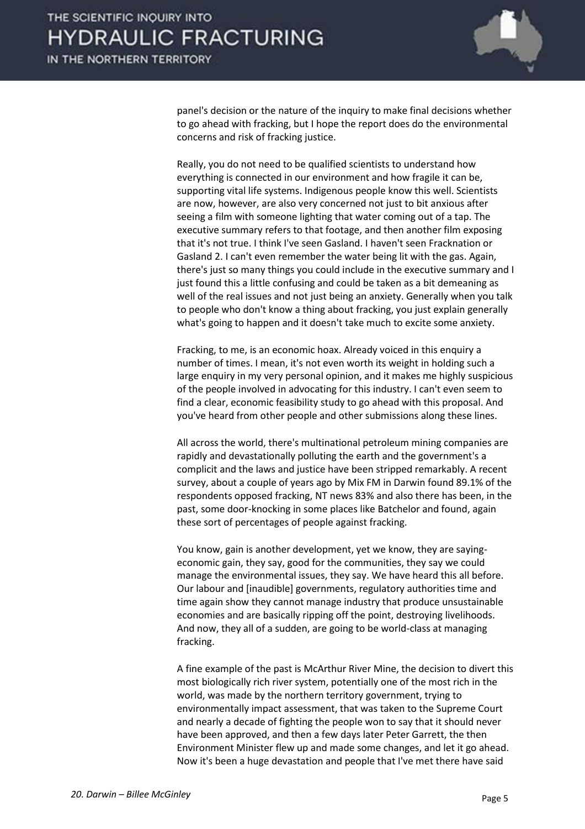

panel's decision or the nature of the inquiry to make final decisions whether to go ahead with fracking, but I hope the report does do the environmental concerns and risk of fracking justice.

 Really, you do not need to be qualified scientists to understand how everything is connected in our environment and how fragile it can be, supporting vital life systems. Indigenous people know this well. Scientists are now, however, are also very concerned not just to bit anxious after seeing a film with someone lighting that water coming out of a tap. The executive summary refers to that footage, and then another film exposing that it's not true. I think I've seen Gasland. I haven't seen Fracknation or Gasland 2. I can't even remember the water being lit with the gas. Again, there's just so many things you could include in the executive summary and I just found this a little confusing and could be taken as a bit demeaning as well of the real issues and not just being an anxiety. Generally when you talk to people who don't know a thing about fracking, you just explain generally what's going to happen and it doesn't take much to excite some anxiety.

 Fracking, to me, is an economic hoax. Already voiced in this enquiry a number of times. I mean, it's not even worth its weight in holding such a large enquiry in my very personal opinion, and it makes me highly suspicious of the people involved in advocating for this industry. I can't even seem to find a clear, economic feasibility study to go ahead with this proposal. And you've heard from other people and other submissions along these lines.

 All across the world, there's multinational petroleum mining companies are rapidly and devastationally polluting the earth and the government's a complicit and the laws and justice have been stripped remarkably. A recent survey, about a couple of years ago by Mix FM in Darwin found 89.1% of the respondents opposed fracking, NT news 83% and also there has been, in the past, some door-knocking in some places like Batchelor and found, again these sort of percentages of people against fracking.

 You know, gain is another development, yet we know, they are sayingeconomic gain, they say, good for the communities, they say we could manage the environmental issues, they say. We have heard this all before. Our labour and [inaudible] governments, regulatory authorities time and time again show they cannot manage industry that produce unsustainable economies and are basically ripping off the point, destroying livelihoods. And now, they all of a sudden, are going to be world-class at managing fracking.

 A fine example of the past is McArthur River Mine, the decision to divert this most biologically rich river system, potentially one of the most rich in the world, was made by the northern territory government, trying to environmentally impact assessment, that was taken to the Supreme Court and nearly a decade of fighting the people won to say that it should never have been approved, and then a few days later Peter Garrett, the then Environment Minister flew up and made some changes, and let it go ahead. Now it's been a huge devastation and people that I've met there have said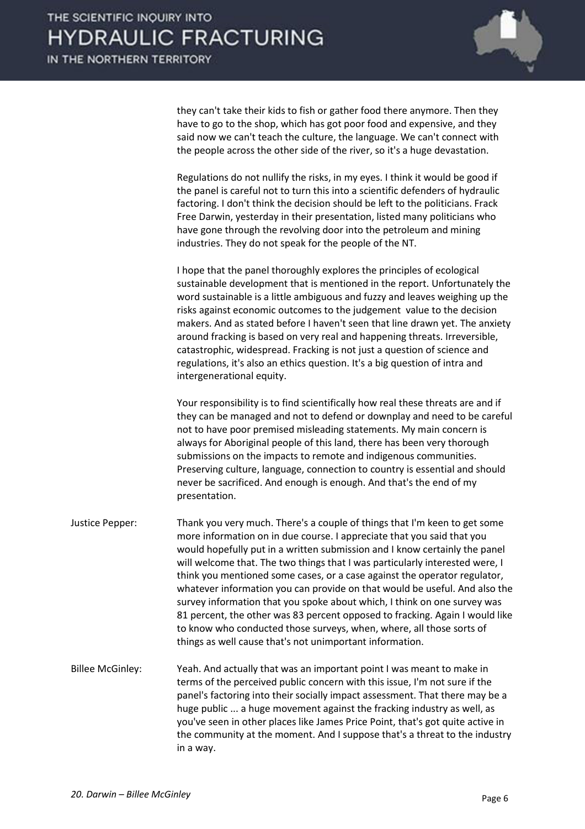

they can't take their kids to fish or gather food there anymore. Then they have to go to the shop, which has got poor food and expensive, and they said now we can't teach the culture, the language. We can't connect with the people across the other side of the river, so it's a huge devastation.

 Regulations do not nullify the risks, in my eyes. I think it would be good if the panel is careful not to turn this into a scientific defenders of hydraulic factoring. I don't think the decision should be left to the politicians. Frack Free Darwin, yesterday in their presentation, listed many politicians who have gone through the revolving door into the petroleum and mining industries. They do not speak for the people of the NT.

 I hope that the panel thoroughly explores the principles of ecological sustainable development that is mentioned in the report. Unfortunately the word sustainable is a little ambiguous and fuzzy and leaves weighing up the risks against economic outcomes to the judgement value to the decision makers. And as stated before I haven't seen that line drawn yet. The anxiety around fracking is based on very real and happening threats. Irreversible, catastrophic, widespread. Fracking is not just a question of science and regulations, it's also an ethics question. It's a big question of intra and intergenerational equity.

 Your responsibility is to find scientifically how real these threats are and if they can be managed and not to defend or downplay and need to be careful not to have poor premised misleading statements. My main concern is always for Aboriginal people of this land, there has been very thorough submissions on the impacts to remote and indigenous communities. Preserving culture, language, connection to country is essential and should never be sacrificed. And enough is enough. And that's the end of my presentation.

- Justice Pepper: Thank you very much. There's a couple of things that I'm keen to get some more information on in due course. I appreciate that you said that you would hopefully put in a written submission and I know certainly the panel will welcome that. The two things that I was particularly interested were, I think you mentioned some cases, or a case against the operator regulator, whatever information you can provide on that would be useful. And also the survey information that you spoke about which, I think on one survey was 81 percent, the other was 83 percent opposed to fracking. Again I would like to know who conducted those surveys, when, where, all those sorts of things as well cause that's not unimportant information.
- Billee McGinley: Yeah. And actually that was an important point I was meant to make in terms of the perceived public concern with this issue, I'm not sure if the panel's factoring into their socially impact assessment. That there may be a huge public ... a huge movement against the fracking industry as well, as you've seen in other places like James Price Point, that's got quite active in the community at the moment. And I suppose that's a threat to the industry in a way.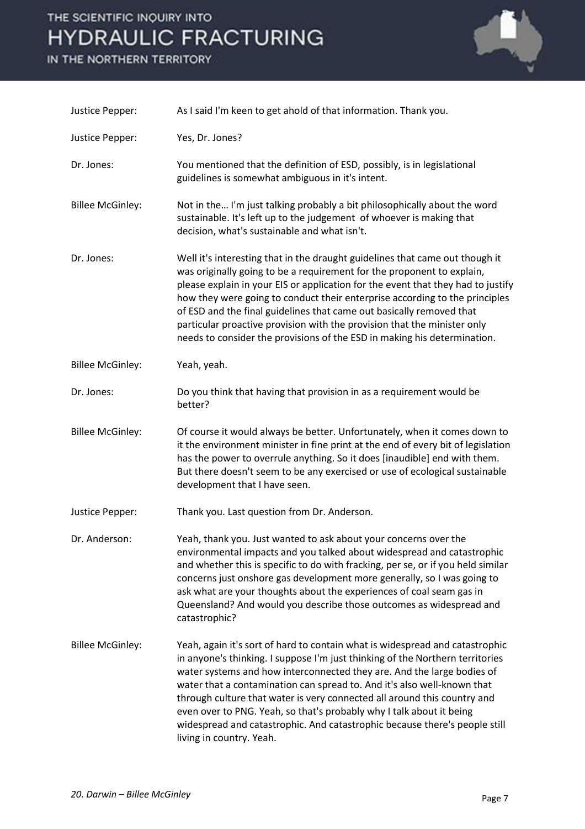## THE SCIENTIFIC INQUIRY INTO **HYDRAULIC FRACTURING**

IN THE NORTHERN TERRITORY



| Justice Pepper:         | As I said I'm keen to get ahold of that information. Thank you.                                                                                                                                                                                                                                                                                                                                                                                                                                                                                                                  |
|-------------------------|----------------------------------------------------------------------------------------------------------------------------------------------------------------------------------------------------------------------------------------------------------------------------------------------------------------------------------------------------------------------------------------------------------------------------------------------------------------------------------------------------------------------------------------------------------------------------------|
| Justice Pepper:         | Yes, Dr. Jones?                                                                                                                                                                                                                                                                                                                                                                                                                                                                                                                                                                  |
| Dr. Jones:              | You mentioned that the definition of ESD, possibly, is in legislational<br>guidelines is somewhat ambiguous in it's intent.                                                                                                                                                                                                                                                                                                                                                                                                                                                      |
| <b>Billee McGinley:</b> | Not in the I'm just talking probably a bit philosophically about the word<br>sustainable. It's left up to the judgement of whoever is making that<br>decision, what's sustainable and what isn't.                                                                                                                                                                                                                                                                                                                                                                                |
| Dr. Jones:              | Well it's interesting that in the draught guidelines that came out though it<br>was originally going to be a requirement for the proponent to explain,<br>please explain in your EIS or application for the event that they had to justify<br>how they were going to conduct their enterprise according to the principles<br>of ESD and the final guidelines that came out basically removed that<br>particular proactive provision with the provision that the minister only<br>needs to consider the provisions of the ESD in making his determination.                        |
| <b>Billee McGinley:</b> | Yeah, yeah.                                                                                                                                                                                                                                                                                                                                                                                                                                                                                                                                                                      |
| Dr. Jones:              | Do you think that having that provision in as a requirement would be<br>better?                                                                                                                                                                                                                                                                                                                                                                                                                                                                                                  |
| <b>Billee McGinley:</b> | Of course it would always be better. Unfortunately, when it comes down to<br>it the environment minister in fine print at the end of every bit of legislation<br>has the power to overrule anything. So it does [inaudible] end with them.<br>But there doesn't seem to be any exercised or use of ecological sustainable<br>development that I have seen.                                                                                                                                                                                                                       |
| Justice Pepper:         | Thank you. Last question from Dr. Anderson.                                                                                                                                                                                                                                                                                                                                                                                                                                                                                                                                      |
| Dr. Anderson:           | Yeah, thank you. Just wanted to ask about your concerns over the<br>environmental impacts and you talked about widespread and catastrophic<br>and whether this is specific to do with fracking, per se, or if you held similar<br>concerns just onshore gas development more generally, so I was going to<br>ask what are your thoughts about the experiences of coal seam gas in<br>Queensland? And would you describe those outcomes as widespread and<br>catastrophic?                                                                                                        |
| <b>Billee McGinley:</b> | Yeah, again it's sort of hard to contain what is widespread and catastrophic<br>in anyone's thinking. I suppose I'm just thinking of the Northern territories<br>water systems and how interconnected they are. And the large bodies of<br>water that a contamination can spread to. And it's also well-known that<br>through culture that water is very connected all around this country and<br>even over to PNG. Yeah, so that's probably why I talk about it being<br>widespread and catastrophic. And catastrophic because there's people still<br>living in country. Yeah. |